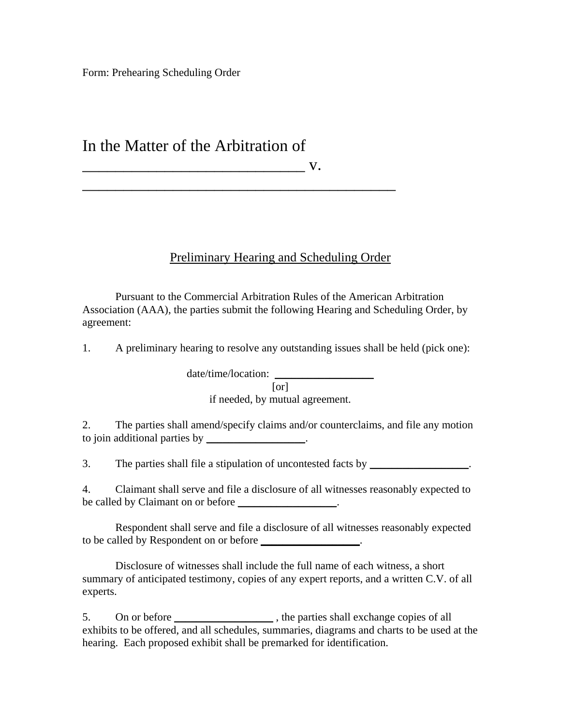Form: Prehearing Scheduling Order

## In the Matter of the Arbitration of

\_\_\_\_\_\_\_\_\_\_\_\_\_\_\_\_\_\_\_\_\_\_\_\_\_\_\_ v.

## Preliminary Hearing and Scheduling Order

 Pursuant to the Commercial Arbitration Rules of the American Arbitration Association (AAA), the parties submit the following Hearing and Scheduling Order, by agreement:

1. A preliminary hearing to resolve any outstanding issues shall be held (pick one):

date/time/location:

\_\_\_\_\_\_\_\_\_\_\_\_\_\_\_\_\_\_\_\_\_\_\_\_\_\_\_\_\_\_\_\_\_\_\_\_\_\_

[or]

if needed, by mutual agreement.

2. The parties shall amend/specify claims and/or counterclaims, and file any motion to join additional parties by \_\_\_\_\_\_\_\_\_\_\_\_\_\_\_\_.

3. The parties shall file a stipulation of uncontested facts by \_\_\_\_\_\_\_\_\_\_\_\_\_\_\_\_.

4. Claimant shall serve and file a disclosure of all witnesses reasonably expected to be called by Claimant on or before \_\_\_\_\_\_\_\_\_\_\_\_\_\_\_.

 Respondent shall serve and file a disclosure of all witnesses reasonably expected to be called by Respondent on or before \_\_\_\_\_\_\_\_\_\_\_\_\_\_\_\_.

 Disclosure of witnesses shall include the full name of each witness, a short summary of anticipated testimony, copies of any expert reports, and a written C.V. of all experts.

5. On or before the parties shall exchange copies of all exhibits to be offered, and all schedules, summaries, diagrams and charts to be used at the hearing. Each proposed exhibit shall be premarked for identification.